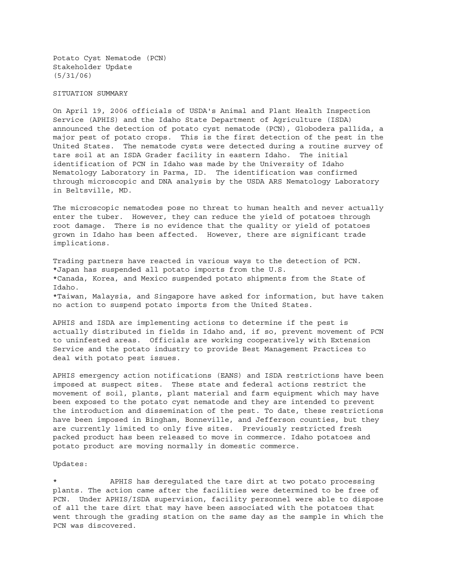Potato Cyst Nematode (PCN) Stakeholder Update (5/31/06)

## SITUATION SUMMARY

On April 19, 2006 officials of USDA's Animal and Plant Health Inspection Service (APHIS) and the Idaho State Department of Agriculture (ISDA) announced the detection of potato cyst nematode (PCN), Globodera pallida, a major pest of potato crops. This is the first detection of the pest in the United States. The nematode cysts were detected during a routine survey of tare soil at an ISDA Grader facility in eastern Idaho. The initial identification of PCN in Idaho was made by the University of Idaho Nematology Laboratory in Parma, ID. The identification was confirmed through microscopic and DNA analysis by the USDA ARS Nematology Laboratory in Beltsville, MD.

The microscopic nematodes pose no threat to human health and never actually enter the tuber. However, they can reduce the yield of potatoes through root damage. There is no evidence that the quality or yield of potatoes grown in Idaho has been affected. However, there are significant trade implications.

Trading partners have reacted in various ways to the detection of PCN. \*Japan has suspended all potato imports from the U.S. \*Canada, Korea, and Mexico suspended potato shipments from the State of Idaho. \*Taiwan, Malaysia, and Singapore have asked for information, but have taken no action to suspend potato imports from the United States.

APHIS and ISDA are implementing actions to determine if the pest is actually distributed in fields in Idaho and, if so, prevent movement of PCN to uninfested areas. Officials are working cooperatively with Extension Service and the potato industry to provide Best Management Practices to deal with potato pest issues.

APHIS emergency action notifications (EANS) and ISDA restrictions have been imposed at suspect sites. These state and federal actions restrict the movement of soil, plants, plant material and farm equipment which may have been exposed to the potato cyst nematode and they are intended to prevent the introduction and dissemination of the pest. To date, these restrictions have been imposed in Bingham, Bonneville, and Jefferson counties, but they are currently limited to only five sites. Previously restricted fresh packed product has been released to move in commerce. Idaho potatoes and potato product are moving normally in domestic commerce.

## Updates:

APHIS has deregulated the tare dirt at two potato processing plants. The action came after the facilities were determined to be free of PCN. Under APHIS/ISDA supervision, facility personnel were able to dispose of all the tare dirt that may have been associated with the potatoes that went through the grading station on the same day as the sample in which the PCN was discovered.